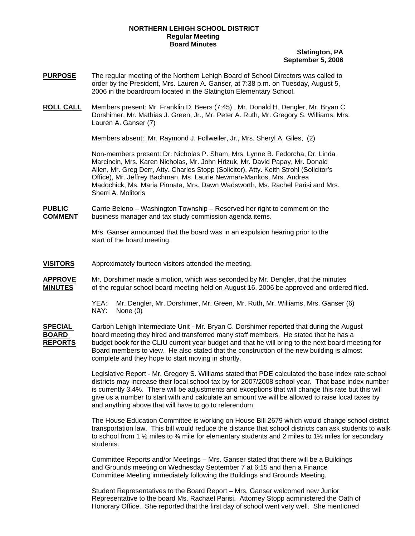# **NORTHERN LEHIGH SCHOOL DISTRICT Regular Meeting Board Minutes**

# **Slatington, PA September 5, 2006**

- **PURPOSE** The regular meeting of the Northern Lehigh Board of School Directors was called to order by the President, Mrs. Lauren A. Ganser, at 7:38 p.m. on Tuesday, August 5, 2006 in the boardroom located in the Slatington Elementary School.
- **ROLL CALL** Members present: Mr. Franklin D. Beers (7:45) , Mr. Donald H. Dengler, Mr. Bryan C. Dorshimer, Mr. Mathias J. Green, Jr., Mr. Peter A. Ruth, Mr. Gregory S. Williams, Mrs. Lauren A. Ganser (7)

Members absent: Mr. Raymond J. Follweiler, Jr., Mrs. Sheryl A. Giles, (2)

Non-members present: Dr. Nicholas P. Sham, Mrs. Lynne B. Fedorcha, Dr. Linda Marcincin, Mrs. Karen Nicholas, Mr. John Hrizuk, Mr. David Papay, Mr. Donald Allen, Mr. Greg Derr, Atty. Charles Stopp (Solicitor), Atty. Keith Strohl (Solicitor's Office), Mr. Jeffrey Bachman, Ms. Laurie Newman-Mankos, Mrs. Andrea Madochick, Ms. Maria Pinnata, Mrs. Dawn Wadsworth, Ms. Rachel Parisi and Mrs. Sherri A. Molitoris

**PUBLIC** Carrie Beleno – Washington Township – Reserved her right to comment on the **COMMENT** business manager and tax study commission agenda items.

> Mrs. Ganser announced that the board was in an expulsion hearing prior to the start of the board meeting.

- **VISITORS** Approximately fourteen visitors attended the meeting.
- **APPROVE** Mr. Dorshimer made a motion, which was seconded by Mr. Dengler, that the minutes **MINUTES** of the regular school board meeting held on August 16, 2006 be approved and ordered filed.

**SPECIAL** Carbon Lehigh Intermediate Unit - Mr. Bryan C. Dorshimer reported that during the August **BOARD** board meeting they hired and transferred many staff members. He stated that he has a **REPORTS** budget book for the CLIU current year budget and that he will bring to the next board meeting for Board members to view. He also stated that the construction of the new building is almost complete and they hope to start moving in shortly.

> Legislative Report - Mr. Gregory S. Williams stated that PDE calculated the base index rate school districts may increase their local school tax by for 2007/2008 school year. That base index number is currently 3.4%. There will be adjustments and exceptions that will change this rate but this will give us a number to start with and calculate an amount we will be allowed to raise local taxes by and anything above that will have to go to referendum.

> The House Education Committee is working on House Bill 2679 which would change school district transportation law. This bill would reduce the distance that school districts can ask students to walk to school from 1  $\frac{1}{2}$  miles to  $\frac{3}{4}$  mile for elementary students and 2 miles to 1 $\frac{1}{2}$  miles for secondary students.

Committee Reports and/or Meetings – Mrs. Ganser stated that there will be a Buildings and Grounds meeting on Wednesday September 7 at 6:15 and then a Finance Committee Meeting immediately following the Buildings and Grounds Meeting.

Student Representatives to the Board Report – Mrs. Ganser welcomed new Junior Representative to the board Ms. Rachael Parisi. Attorney Stopp administered the Oath of Honorary Office. She reported that the first day of school went very well. She mentioned

YEA: Mr. Dengler, Mr. Dorshimer, Mr. Green, Mr. Ruth, Mr. Williams, Mrs. Ganser (6) NAY: None (0)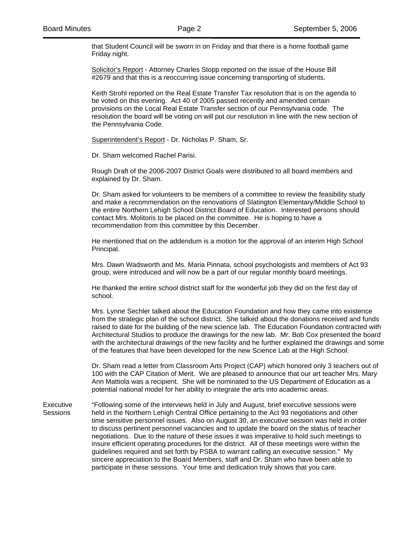that Student Council will be sworn in on Friday and that there is a home football game Friday night.

Solicitor's Report - Attorney Charles Stopp reported on the issue of the House Bill #2679 and that this is a reoccurring issue concerning transporting of students.

 Keith Strohl reported on the Real Estate Transfer Tax resolution that is on the agenda to be voted on this evening. Act 40 of 2005 passed recently and amended certain provisions on the Local Real Estate Transfer section of our Pennsylvania code. The resolution the board will be voting on will put our resolution in line with the new section of the Pennsylvania Code.

Superintendent's Report - Dr. Nicholas P. Sham, Sr.

Dr. Sham welcomed Rachel Parisi.

Rough Draft of the 2006-2007 District Goals were distributed to all board members and explained by Dr. Sham.

Dr. Sham asked for volunteers to be members of a committee to review the feasibility study and make a recommendation on the renovations of Slatington Elementary/Middle School to the entire Northern Lehigh School District Board of Education. Interested persons should contact Mrs. Molitoris to be placed on the committee. He is hoping to have a recommendation from this committee by this December.

He mentioned that on the addendum is a motion for the approval of an interim High School Principal.

Mrs. Dawn Wadsworth and Ms. Maria Pinnata, school psychologists and members of Act 93 group, were introduced and will now be a part of our regular monthly board meetings.

He thanked the entire school district staff for the wonderful job they did on the first day of school.

Mrs. Lynne Sechler talked about the Education Foundation and how they came into existence from the strategic plan of the school district. She talked about the donations received and funds raised to date for the building of the new science lab. The Education Foundation contracted with Architectural Studios to produce the drawings for the new lab. Mr. Bob Cox presented the board with the architectural drawings of the new facility and he further explained the drawings and some of the features that have been developed for the new Science Lab at the High School.

Dr. Sham read a letter from Classroom Arts Project (CAP) which honored only 3 teachers out of 100 with the CAP Citation of Merit. We are pleased to announce that our art teacher Mrs. Mary Ann Mattiola was a recipient. She will be nominated to the US Department of Education as a potential national model for her ability to integrate the arts into academic areas.

Executive "Following some of the interviews held in July and August, brief executive sessions were Sessions held in the Northern Lehigh Central Office pertaining to the Act 93 negotiations and other time sensitive personnel issues. Also on August 30, an executive session was held in order to discuss pertinent personnel vacancies and to update the board on the status of teacher negotiations. Due to the nature of these issues it was imperative to hold such meetings to insure efficient operating procedures for the district. All of these meetings were within the guidelines required and set forth by PSBA to warrant calling an executive session." My sincere appreciation to the Board Members, staff and Dr. Sham who have been able to participate in these sessions. Your time and dedication truly shows that you care.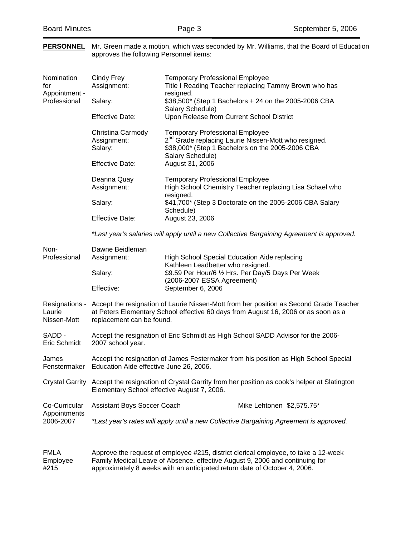**PERSONNEL** Mr. Green made a motion, which was seconded by Mr. Williams, that the Board of Education

|                                                    | approves the following Personnel items:                                                                                                                                                                   |                                                                                                                       |                                                                                                                                                                     |  |
|----------------------------------------------------|-----------------------------------------------------------------------------------------------------------------------------------------------------------------------------------------------------------|-----------------------------------------------------------------------------------------------------------------------|---------------------------------------------------------------------------------------------------------------------------------------------------------------------|--|
| Nomination<br>for<br>Appointment -<br>Professional | Cindy Frey<br>Assignment:                                                                                                                                                                                 | <b>Temporary Professional Employee</b><br>resigned.                                                                   | Title I Reading Teacher replacing Tammy Brown who has<br>\$38,500* (Step 1 Bachelors + 24 on the 2005-2006 CBA                                                      |  |
|                                                    | Salary:                                                                                                                                                                                                   | Salary Schedule)                                                                                                      |                                                                                                                                                                     |  |
|                                                    | <b>Effective Date:</b>                                                                                                                                                                                    | Upon Release from Current School District                                                                             |                                                                                                                                                                     |  |
|                                                    | Christina Carmody<br>Assignment:<br>Salary:                                                                                                                                                               | <b>Temporary Professional Employee</b><br>Salary Schedule)                                                            | 2 <sup>nd</sup> Grade replacing Laurie Nissen-Mott who resigned.<br>\$38,000* (Step 1 Bachelors on the 2005-2006 CBA                                                |  |
|                                                    | <b>Effective Date:</b>                                                                                                                                                                                    | August 31, 2006                                                                                                       |                                                                                                                                                                     |  |
|                                                    | Deanna Quay<br>Assignment:                                                                                                                                                                                | <b>Temporary Professional Employee</b><br>resigned.                                                                   | High School Chemistry Teacher replacing Lisa Schael who                                                                                                             |  |
|                                                    | Salary:                                                                                                                                                                                                   | Schedule)                                                                                                             | \$41,700* (Step 3 Doctorate on the 2005-2006 CBA Salary                                                                                                             |  |
|                                                    | <b>Effective Date:</b>                                                                                                                                                                                    | August 23, 2006                                                                                                       |                                                                                                                                                                     |  |
|                                                    | *Last year's salaries will apply until a new Collective Bargaining Agreement is approved.                                                                                                                 |                                                                                                                       |                                                                                                                                                                     |  |
| Non-<br>Professional                               | Dawne Beidleman<br>Assignment:                                                                                                                                                                            | High School Special Education Aide replacing                                                                          |                                                                                                                                                                     |  |
|                                                    | Salary:                                                                                                                                                                                                   | Kathleen Leadbetter who resigned.<br>\$9.59 Per Hour/6 1/2 Hrs. Per Day/5 Days Per Week<br>(2006-2007 ESSA Agreement) |                                                                                                                                                                     |  |
|                                                    | Effective:                                                                                                                                                                                                | September 6, 2006                                                                                                     |                                                                                                                                                                     |  |
| Resignations -<br>Laurie<br>Nissen-Mott            | Accept the resignation of Laurie Nissen-Mott from her position as Second Grade Teacher<br>at Peters Elementary School effective 60 days from August 16, 2006 or as soon as a<br>replacement can be found. |                                                                                                                       |                                                                                                                                                                     |  |
| SADD -<br>Eric Schmidt                             | Accept the resignation of Eric Schmidt as High School SADD Advisor for the 2006-<br>2007 school year.                                                                                                     |                                                                                                                       |                                                                                                                                                                     |  |
| James<br>Fenstermaker                              | Accept the resignation of James Festermaker from his position as High School Special<br>Education Aide effective June 26, 2006.                                                                           |                                                                                                                       |                                                                                                                                                                     |  |
| <b>Crystal Garrity</b>                             | Accept the resignation of Crystal Garrity from her position as cook's helper at Slatington<br>Elementary School effective August 7, 2006.                                                                 |                                                                                                                       |                                                                                                                                                                     |  |
| Co-Curricular                                      | Assistant Boys Soccer Coach                                                                                                                                                                               |                                                                                                                       | Mike Lehtonen \$2,575.75*                                                                                                                                           |  |
| Appointments<br>2006-2007                          | *Last year's rates will apply until a new Collective Bargaining Agreement is approved.                                                                                                                    |                                                                                                                       |                                                                                                                                                                     |  |
| <b>FMLA</b><br>Employee                            |                                                                                                                                                                                                           |                                                                                                                       | Approve the request of employee #215, district clerical employee, to take a 12-week<br>Family Medical Leave of Absence, effective August 9, 2006 and continuing for |  |

#215 approximately 8 weeks with an anticipated return date of October 4, 2006.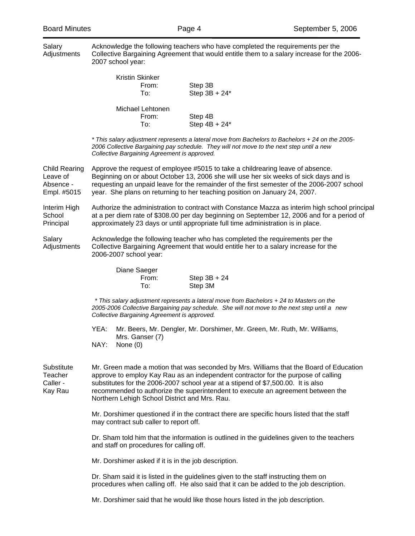| Salary<br>Adjustments                                        | Acknowledge the following teachers who have completed the requirements per the<br>Collective Bargaining Agreement that would entitle them to a salary increase for the 2006-<br>2007 school year:                                                                                                                                                                                                   |  |  |  |  |
|--------------------------------------------------------------|-----------------------------------------------------------------------------------------------------------------------------------------------------------------------------------------------------------------------------------------------------------------------------------------------------------------------------------------------------------------------------------------------------|--|--|--|--|
|                                                              | Kristin Skinker<br>From:<br>Step 3B<br>Step $3B + 24$ <sup>*</sup><br>To:                                                                                                                                                                                                                                                                                                                           |  |  |  |  |
|                                                              | Michael Lehtonen<br>From:<br>Step 4B<br>Step $4B + 24*$<br>To:                                                                                                                                                                                                                                                                                                                                      |  |  |  |  |
|                                                              | * This salary adjustment represents a lateral move from Bachelors to Bachelors + 24 on the 2005-<br>2006 Collective Bargaining pay schedule. They will not move to the next step until a new<br>Collective Bargaining Agreement is approved.                                                                                                                                                        |  |  |  |  |
| <b>Child Rearing</b><br>Leave of<br>Absence -<br>Empl. #5015 | Approve the request of employee #5015 to take a childrearing leave of absence.<br>Beginning on or about October 13, 2006 she will use her six weeks of sick days and is<br>requesting an unpaid leave for the remainder of the first semester of the 2006-2007 school<br>year. She plans on returning to her teaching position on January 24, 2007.                                                 |  |  |  |  |
| Interim High<br>School<br>Principal                          | Authorize the administration to contract with Constance Mazza as interim high school principal<br>at a per diem rate of \$308.00 per day beginning on September 12, 2006 and for a period of<br>approximately 23 days or until appropriate full time administration is in place.                                                                                                                    |  |  |  |  |
| Salary<br>Adjustments                                        | Acknowledge the following teacher who has completed the requirements per the<br>Collective Bargaining Agreement that would entitle her to a salary increase for the<br>2006-2007 school year:                                                                                                                                                                                                       |  |  |  |  |
|                                                              | Diane Saeger<br>From:<br>$Step 3B + 24$<br>To:<br>Step 3M                                                                                                                                                                                                                                                                                                                                           |  |  |  |  |
|                                                              | * This salary adjustment represents a lateral move from Bachelors + 24 to Masters on the<br>2005-2006 Collective Bargaining pay schedule. She will not move to the next step until a new<br>Collective Bargaining Agreement is approved.                                                                                                                                                            |  |  |  |  |
|                                                              | YEA:<br>Mr. Beers, Mr. Dengler, Mr. Dorshimer, Mr. Green, Mr. Ruth, Mr. Williams,<br>Mrs. Ganser (7)<br>NAY: None (0)                                                                                                                                                                                                                                                                               |  |  |  |  |
| Substitute<br>Teacher<br>Caller -<br>Kay Rau                 | Mr. Green made a motion that was seconded by Mrs. Williams that the Board of Education<br>approve to employ Kay Rau as an independent contractor for the purpose of calling<br>substitutes for the 2006-2007 school year at a stipend of \$7,500.00. It is also<br>recommended to authorize the superintendent to execute an agreement between the<br>Northern Lehigh School District and Mrs. Rau. |  |  |  |  |
|                                                              | Mr. Dorshimer questioned if in the contract there are specific hours listed that the staff<br>may contract sub caller to report off.                                                                                                                                                                                                                                                                |  |  |  |  |
|                                                              | Dr. Sham told him that the information is outlined in the guidelines given to the teachers<br>and staff on procedures for calling off.                                                                                                                                                                                                                                                              |  |  |  |  |
|                                                              | Mr. Dorshimer asked if it is in the job description.                                                                                                                                                                                                                                                                                                                                                |  |  |  |  |
|                                                              | Dr. Sham said it is listed in the guidelines given to the staff instructing them on<br>procedures when calling off. He also said that it can be added to the job description.                                                                                                                                                                                                                       |  |  |  |  |
|                                                              | Mr. Dorshimer said that he would like those hours listed in the job description.                                                                                                                                                                                                                                                                                                                    |  |  |  |  |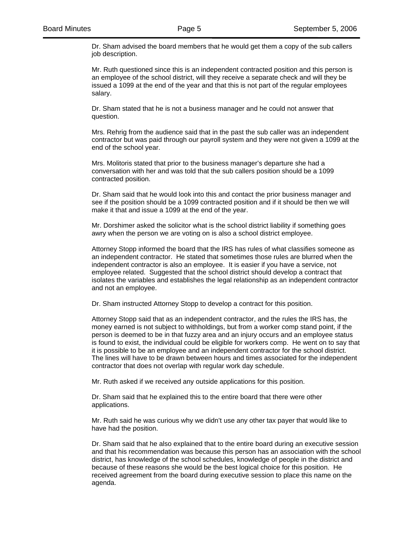Dr. Sham advised the board members that he would get them a copy of the sub callers job description.

Mr. Ruth questioned since this is an independent contracted position and this person is an employee of the school district, will they receive a separate check and will they be issued a 1099 at the end of the year and that this is not part of the regular employees salary.

Dr. Sham stated that he is not a business manager and he could not answer that question.

Mrs. Rehrig from the audience said that in the past the sub caller was an independent contractor but was paid through our payroll system and they were not given a 1099 at the end of the school year.

Mrs. Molitoris stated that prior to the business manager's departure she had a conversation with her and was told that the sub callers position should be a 1099 contracted position.

Dr. Sham said that he would look into this and contact the prior business manager and see if the position should be a 1099 contracted position and if it should be then we will make it that and issue a 1099 at the end of the year.

Mr. Dorshimer asked the solicitor what is the school district liability if something goes awry when the person we are voting on is also a school district employee.

Attorney Stopp informed the board that the IRS has rules of what classifies someone as an independent contractor. He stated that sometimes those rules are blurred when the independent contractor is also an employee. It is easier if you have a service, not employee related. Suggested that the school district should develop a contract that isolates the variables and establishes the legal relationship as an independent contractor and not an employee.

Dr. Sham instructed Attorney Stopp to develop a contract for this position.

Attorney Stopp said that as an independent contractor, and the rules the IRS has, the money earned is not subject to withholdings, but from a worker comp stand point, if the person is deemed to be in that fuzzy area and an injury occurs and an employee status is found to exist, the individual could be eligible for workers comp. He went on to say that it is possible to be an employee and an independent contractor for the school district. The lines will have to be drawn between hours and times associated for the independent contractor that does not overlap with regular work day schedule.

Mr. Ruth asked if we received any outside applications for this position.

Dr. Sham said that he explained this to the entire board that there were other applications.

Mr. Ruth said he was curious why we didn't use any other tax payer that would like to have had the position.

Dr. Sham said that he also explained that to the entire board during an executive session and that his recommendation was because this person has an association with the school district, has knowledge of the school schedules, knowledge of people in the district and because of these reasons she would be the best logical choice for this position. He received agreement from the board during executive session to place this name on the agenda.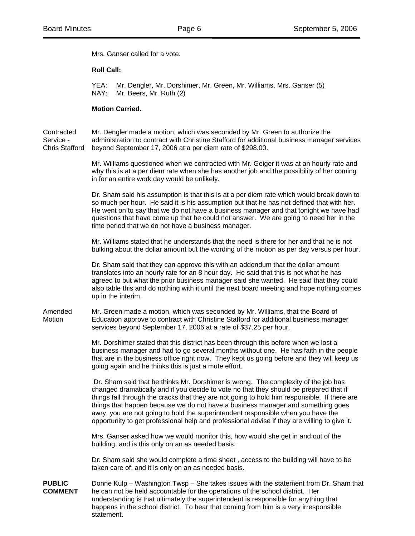Mrs. Ganser called for a vote.

## **Roll Call:**

 YEA: Mr. Dengler, Mr. Dorshimer, Mr. Green, Mr. Williams, Mrs. Ganser (5) NAY: Mr. Beers, Mr. Ruth (2)

## **Motion Carried.**

Contracted Mr. Dengler made a motion, which was seconded by Mr. Green to authorize the Service - administration to contract with Christine Stafford for additional business manager services Chris Stafford beyond September 17, 2006 at a per diem rate of \$298.00.

> Mr. Williams questioned when we contracted with Mr. Geiger it was at an hourly rate and why this is at a per diem rate when she has another job and the possibility of her coming in for an entire work day would be unlikely.

> Dr. Sham said his assumption is that this is at a per diem rate which would break down to so much per hour. He said it is his assumption but that he has not defined that with her. He went on to say that we do not have a business manager and that tonight we have had questions that have come up that he could not answer. We are going to need her in the time period that we do not have a business manager.

> Mr. Williams stated that he understands that the need is there for her and that he is not bulking about the dollar amount but the wording of the motion as per day versus per hour.

> Dr. Sham said that they can approve this with an addendum that the dollar amount translates into an hourly rate for an 8 hour day. He said that this is not what he has agreed to but what the prior business manager said she wanted. He said that they could also table this and do nothing with it until the next board meeting and hope nothing comes up in the interim.

Amended Mr. Green made a motion, which was seconded by Mr. Williams, that the Board of Motion Education approve to contract with Christine Stafford for additional business manager services beyond September 17, 2006 at a rate of \$37.25 per hour.

> Mr. Dorshimer stated that this district has been through this before when we lost a business manager and had to go several months without one. He has faith in the people that are in the business office right now. They kept us going before and they will keep us going again and he thinks this is just a mute effort.

> Dr. Sham said that he thinks Mr. Dorshimer is wrong. The complexity of the job has changed dramatically and if you decide to vote no that they should be prepared that if things fall through the cracks that they are not going to hold him responsible. If there are things that happen because we do not have a business manager and something goes awry, you are not going to hold the superintendent responsible when you have the opportunity to get professional help and professional advise if they are willing to give it.

Mrs. Ganser asked how we would monitor this, how would she get in and out of the building, and is this only on an as needed basis.

Dr. Sham said she would complete a time sheet , access to the building will have to be taken care of, and it is only on an as needed basis.

**PUBLIC** Donne Kulp – Washington Twsp – She takes issues with the statement from Dr. Sham that **COMMENT** he can not be held accountable for the operations of the school district. Her understanding is that ultimately the superintendent is responsible for anything that happens in the school district. To hear that coming from him is a very irresponsible statement.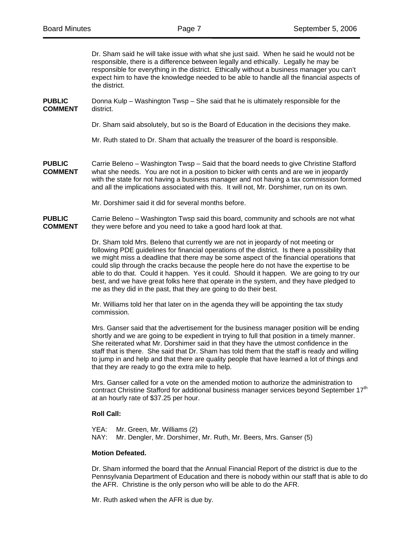Dr. Sham said he will take issue with what she just said. When he said he would not be responsible, there is a difference between legally and ethically. Legally he may be responsible for everything in the district. Ethically without a business manager you can't expect him to have the knowledge needed to be able to handle all the financial aspects of the district. **PUBLIC** Donna Kulp – Washington Twsp – She said that he is ultimately responsible for the **COMMENT** district. Dr. Sham said absolutely, but so is the Board of Education in the decisions they make. Mr. Ruth stated to Dr. Sham that actually the treasurer of the board is responsible. **PUBLIC** Carrie Beleno – Washington Twsp – Said that the board needs to give Christine Stafford **COMMENT** what she needs. You are not in a position to bicker with cents and are we in jeopardy with the state for not having a business manager and not having a tax commission formed and all the implications associated with this. It will not, Mr. Dorshimer, run on its own. Mr. Dorshimer said it did for several months before. **PUBLIC** Carrie Beleno – Washington Twsp said this board, community and schools are not what **COMMENT** they were before and you need to take a good hard look at that. Dr. Sham told Mrs. Beleno that currently we are not in jeopardy of not meeting or following PDE guidelines for financial operations of the district. Is there a possibility that we might miss a deadline that there may be some aspect of the financial operations that

could slip through the cracks because the people here do not have the expertise to be able to do that. Could it happen. Yes it could. Should it happen. We are going to try our best, and we have great folks here that operate in the system, and they have pledged to me as they did in the past, that they are going to do their best.

Mr. Williams told her that later on in the agenda they will be appointing the tax study commission.

Mrs. Ganser said that the advertisement for the business manager position will be ending shortly and we are going to be expedient in trying to full that position in a timely manner. She reiterated what Mr. Dorshimer said in that they have the utmost confidence in the staff that is there. She said that Dr. Sham has told them that the staff is ready and willing to jump in and help and that there are quality people that have learned a lot of things and that they are ready to go the extra mile to help.

Mrs. Ganser called for a vote on the amended motion to authorize the administration to contract Christine Stafford for additional business manager services beyond September 17<sup>th</sup> at an hourly rate of \$37.25 per hour.

# **Roll Call:**

YEA: Mr. Green, Mr. Williams (2) NAY: Mr. Dengler, Mr. Dorshimer, Mr. Ruth, Mr. Beers, Mrs. Ganser (5)

#### **Motion Defeated.**

Dr. Sham informed the board that the Annual Financial Report of the district is due to the Pennsylvania Department of Education and there is nobody within our staff that is able to do the AFR. Christine is the only person who will be able to do the AFR.

Mr. Ruth asked when the AFR is due by.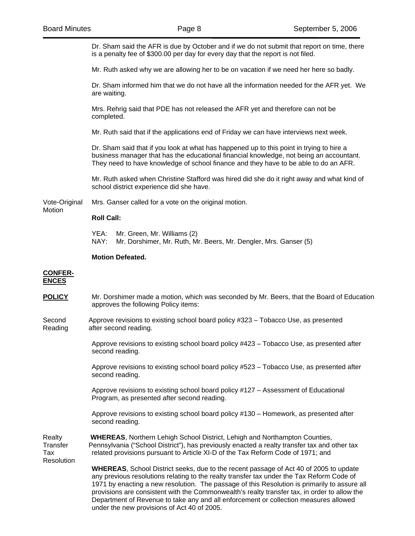Dr. Sham said the AFR is due by October and if we do not submit that report on time, there is a penalty fee of \$300.00 per day for every day that the report is not filed.

Mr. Ruth asked why we are allowing her to be on vacation if we need her here so badly.

Dr. Sham informed him that we do not have all the information needed for the AFR yet. We are waiting.

Mrs. Rehrig said that PDE has not released the AFR yet and therefore can not be completed.

Mr. Ruth said that if the applications end of Friday we can have interviews next week.

Dr. Sham said that if you look at what has happened up to this point in trying to hire a business manager that has the educational financial knowledge, not being an accountant. They need to have knowledge of school finance and they have to be able to do an AFR.

Mr. Ruth asked when Christine Stafford was hired did she do it right away and what kind of school district experience did she have.

Vote-Original Mrs. Ganser called for a vote on the original motion.

# **Roll Call:**

YEA: Mr. Green, Mr. Williams (2) NAY: Mr. Dorshimer, Mr. Ruth, Mr. Beers, Mr. Dengler, Mrs. Ganser (5)

## **Motion Defeated.**

#### **CONFER-ENCES**

Motion

**POLICY** Mr. Dorshimer made a motion, which was seconded by Mr. Beers, that the Board of Education approves the following Policy items:

Second Approve revisions to existing school board policy #323 – Tobacco Use, as presented Reading after second reading.

> Approve revisions to existing school board policy #423 – Tobacco Use, as presented after second reading.

> Approve revisions to existing school board policy #523 – Tobacco Use, as presented after second reading.

Approve revisions to existing school board policy #127 – Assessment of Educational Program, as presented after second reading.

Approve revisions to existing school board policy #130 – Homework, as presented after second reading.

Realty **WHEREAS**, Northern Lehigh School District, Lehigh and Northampton Counties, Transfer Pennsylvania ("School District"), has previously enacted a realty transfer tax and other tax Tax related provisions pursuant to Article XI-D of the Tax Reform Code of 1971; and Resolution

> **WHEREAS**, School District seeks, due to the recent passage of Act 40 of 2005 to update any previous resolutions relating to the realty transfer tax under the Tax Reform Code of 1971 by enacting a new resolution. The passage of this Resolution is primarily to assure all provisions are consistent with the Commonwealth's realty transfer tax, in order to allow the Department of Revenue to take any and all enforcement or collection measures allowed under the new provisions of Act 40 of 2005.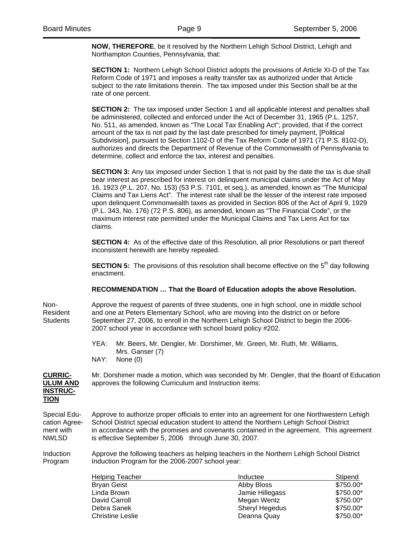**NOW, THEREFORE**, be it resolved by the Northern Lehigh School District, Lehigh and Northampton Counties, Pennsylvania, that:

 **SECTION 1:** Northern Lehigh School District adopts the provisions of Article XI-D of the Tax Reform Code of 1971 and imposes a realty transfer tax as authorized under that Article subject to the rate limitations therein. The tax imposed under this Section shall be at the rate of one percent.

**SECTION 2:** The tax imposed under Section 1 and all applicable interest and penalties shall be administered, collected and enforced under the Act of December 31, 1965 (P.L. 1257, No. 511, as amended, known as "The Local Tax Enabling Act"; provided, that if the correct amount of the tax is not paid by the last date prescribed for timely payment, [Political Subdivision], pursuant to Section 1102-D of the Tax Reform Code of 1971 (71 P.S. 8102-D), authorizes and directs the Department of Revenue of the Commonwealth of Pennsylvania to determine, collect and enforce the tax, interest and penalties.

**SECTION 3:** Any tax imposed under Section 1 that is not paid by the date the tax is due shall bear interest as prescribed for interest on delinquent municipal claims under the Act of May 16, 1923 (P.L. 207, No. 153) (53 P.S. 7101, et seq.), as amended, known as "The Municipal Claims and Tax Liens Act". The interest rate shall be the lesser of the interest rate imposed upon delinquent Commonwealth taxes as provided in Section 806 of the Act of April 9, 1929 (P.L. 343, No. 176) (72 P.S. 806), as amended, known as "The Financial Code", or the maximum interest rate permitted under the Municipal Claims and Tax Liens Act for tax claims.

**SECTION 4:** As of the effective date of this Resolution, all prior Resolutions or part thereof inconsistent herewith are hereby repealed.

**SECTION 5:** The provisions of this resolution shall become effective on the 5<sup>th</sup> day following enactment.

# **RECOMMENDATION … That the Board of Education adopts the above Resolution.**

Non- Approve the request of parents of three students, one in high school, one in middle school Resident and one at Peters Elementary School, who are moving into the district on or before Students September 27, 2006, to enroll in the Northern Lehigh School District to begin the 2006- 2007 school year in accordance with school board policy #202.

> YEA: Mr. Beers, Mr. Dengler, Mr. Dorshimer, Mr. Green, Mr. Ruth, Mr. Williams, Mrs. Ganser (7) NAY: None (0)

**INSTRUC-TION**

**CURRIC-** Mr. Dorshimer made a motion, which was seconded by Mr. Dengler, that the Board of Education **ULUM AND** approves the following Curriculum and Instruction items:

Special Edu- Approve to authorize proper officials to enter into an agreement for one Northwestern Lehigh cation Agree- School District special education student to attend the Northern Lehigh School District ment with in accordance with the promises and covenants contained in the agreement. This agreement NWLSD is effective September 5, 2006 through June 30, 2007.

Induction Approve the following teachers as helping teachers in the Northern Lehigh School District Program Induction Program for the 2006-2007 school year:

| <b>Helping Teacher</b>  | Inductee        | Stipend   |
|-------------------------|-----------------|-----------|
| <b>Bryan Geist</b>      | Abby Bloss      | \$750.00* |
| Linda Brown             | Jamie Hillegass | \$750.00* |
| David Carroll           | Megan Wentz     | \$750.00* |
| Debra Sanek             | Sheryl Hegedus  | \$750.00* |
| <b>Christine Leslie</b> | Deanna Quay     | \$750.00* |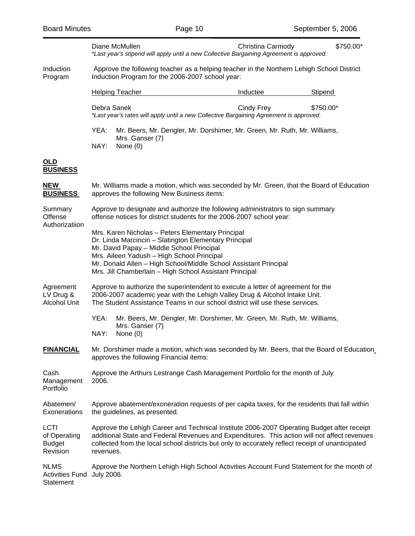|                                                    |                                                                                                                                                                                                                                                                                                                                      | Diane McMullen                | Christina Carmody<br>*Last year's stipend will apply until a new Collective Bargaining Agreement is approved. | \$750.00* |  |  |
|----------------------------------------------------|--------------------------------------------------------------------------------------------------------------------------------------------------------------------------------------------------------------------------------------------------------------------------------------------------------------------------------------|-------------------------------|---------------------------------------------------------------------------------------------------------------|-----------|--|--|
| Induction<br>Program                               | Approve the following teacher as a helping teacher in the Northern Lehigh School District<br>Induction Program for the 2006-2007 school year:                                                                                                                                                                                        |                               |                                                                                                               |           |  |  |
|                                                    |                                                                                                                                                                                                                                                                                                                                      | <b>Helping Teacher</b>        | Inductee                                                                                                      | Stipend   |  |  |
|                                                    | Debra Sanek                                                                                                                                                                                                                                                                                                                          |                               | Cindy Frey<br>*Last year's rates will apply until a new Collective Bargaining Agreement is approved.          | \$750.00* |  |  |
|                                                    | YEA:<br>Mr. Beers, Mr. Dengler, Mr. Dorshimer, Mr. Green, Mr. Ruth, Mr. Williams,<br>Mrs. Ganser (7)                                                                                                                                                                                                                                 |                               |                                                                                                               |           |  |  |
|                                                    | NAY:                                                                                                                                                                                                                                                                                                                                 | None $(0)$                    |                                                                                                               |           |  |  |
| <u>OLD</u><br><b>BUSINESS</b>                      |                                                                                                                                                                                                                                                                                                                                      |                               |                                                                                                               |           |  |  |
| <b>NEW</b><br><b>BUSINESS</b>                      | Mr. Williams made a motion, which was seconded by Mr. Green, that the Board of Education<br>approves the following New Business items:                                                                                                                                                                                               |                               |                                                                                                               |           |  |  |
| Summary<br>Offense<br>Authorizatiion               | Approve to designate and authorize the following administrators to sign summary<br>offense notices for district students for the 2006-2007 school year:                                                                                                                                                                              |                               |                                                                                                               |           |  |  |
|                                                    | Mrs. Karen Nicholas - Peters Elementary Principal<br>Dr. Linda Marcincin - Slatington Elementary Principal<br>Mr. David Papay - Middle School Principal<br>Mrs. Aileen Yadush - High School Principal<br>Mr. Donald Allen - High School/Middle School Assistant Principal<br>Mrs. Jill Chamberlain - High School Assistant Principal |                               |                                                                                                               |           |  |  |
| Agreement<br>LV Drug &<br>Alcohol Unit             | Approve to authorize the superintendent to execute a letter of agreement for the<br>2006-2007 academic year with the Lehigh Valley Drug & Alcohol Intake Unit.<br>The Student Assistance Teams in our school district will use these services.                                                                                       |                               |                                                                                                               |           |  |  |
|                                                    | YEA:<br>NAY:                                                                                                                                                                                                                                                                                                                         | Mrs. Ganser (7)<br>None $(0)$ | Mr. Beers, Mr. Dengler, Mr. Dorshimer, Mr. Green, Mr. Ruth, Mr. Williams,                                     |           |  |  |
| <b>FINANCIAL</b>                                   | Mr. Dorshimer made a motion, which was seconded by Mr. Beers, that the Board of Education<br>approves the following Financial items:                                                                                                                                                                                                 |                               |                                                                                                               |           |  |  |
| Cash<br>Management<br>Portfolio                    | Approve the Arthurs Lestrange Cash Management Portfolio for the month of July<br>2006.                                                                                                                                                                                                                                               |                               |                                                                                                               |           |  |  |
| Abatemen/<br>Exonerations                          | Approve abatement/exoneration requests of per capita taxes, for the residents that fall within<br>the guidelines, as presented.                                                                                                                                                                                                      |                               |                                                                                                               |           |  |  |
| LCTI<br>of Operating<br><b>Budget</b><br>Revision  | Approve the Lehigh Career and Technical Institute 2006-2007 Operating Budget after receipt<br>additional State and Federal Revenues and Expenditures. This action will not affect revenues<br>collected from the local school districts but only to accurately reflect receipt of unanticipated<br>revenues.                         |                               |                                                                                                               |           |  |  |
| <b>NLMS</b><br><b>Activities Fund</b><br>Statement | Approve the Northern Lehigh High School Activities Account Fund Statement for the month of<br>July 2006.                                                                                                                                                                                                                             |                               |                                                                                                               |           |  |  |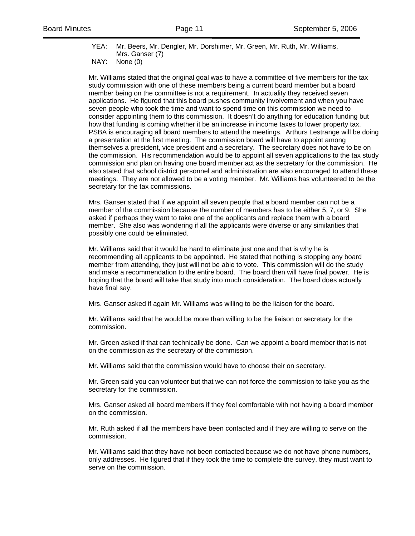YEA: Mr. Beers, Mr. Dengler, Mr. Dorshimer, Mr. Green, Mr. Ruth, Mr. Williams, Mrs. Ganser (7)

NAY: None (0)

Mr. Williams stated that the original goal was to have a committee of five members for the tax study commission with one of these members being a current board member but a board member being on the committee is not a requirement. In actuality they received seven applications. He figured that this board pushes community involvement and when you have seven people who took the time and want to spend time on this commission we need to consider appointing them to this commission. It doesn't do anything for education funding but how that funding is coming whether it be an increase in income taxes to lower property tax. PSBA is encouraging all board members to attend the meetings. Arthurs Lestrange will be doing a presentation at the first meeting. The commission board will have to appoint among themselves a president, vice president and a secretary. The secretary does not have to be on the commission. His recommendation would be to appoint all seven applications to the tax study commission and plan on having one board member act as the secretary for the commission. He also stated that school district personnel and administration are also encouraged to attend these meetings. They are not allowed to be a voting member. Mr. Williams has volunteered to be the secretary for the tax commissions.

Mrs. Ganser stated that if we appoint all seven people that a board member can not be a member of the commission because the number of members has to be either 5, 7, or 9. She asked if perhaps they want to take one of the applicants and replace them with a board member. She also was wondering if all the applicants were diverse or any similarities that possibly one could be eliminated.

Mr. Williams said that it would be hard to eliminate just one and that is why he is recommending all applicants to be appointed. He stated that nothing is stopping any board member from attending, they just will not be able to vote. This commission will do the study and make a recommendation to the entire board. The board then will have final power. He is hoping that the board will take that study into much consideration. The board does actually have final say.

Mrs. Ganser asked if again Mr. Williams was willing to be the liaison for the board.

Mr. Williams said that he would be more than willing to be the liaison or secretary for the commission.

Mr. Green asked if that can technically be done. Can we appoint a board member that is not on the commission as the secretary of the commission.

Mr. Williams said that the commission would have to choose their on secretary.

Mr. Green said you can volunteer but that we can not force the commission to take you as the secretary for the commission.

Mrs. Ganser asked all board members if they feel comfortable with not having a board member on the commission.

Mr. Ruth asked if all the members have been contacted and if they are willing to serve on the commission.

Mr. Williams said that they have not been contacted because we do not have phone numbers, only addresses. He figured that if they took the time to complete the survey, they must want to serve on the commission.